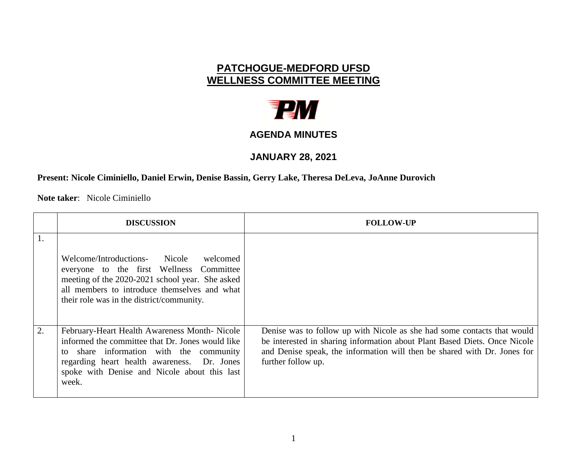## **PATCHOGUE-MEDFORD UFSD WELLNESS COMMITTEE MEETING**



## **AGENDA MINUTES**

## **JANUARY 28, 2021**

## **Present: Nicole Ciminiello, Daniel Erwin, Denise Bassin, Gerry Lake, Theresa DeLeva, JoAnne Durovich**

**Note taker**: Nicole Ciminiello

|    | <b>DISCUSSION</b>                                                                                                                                                                                                                                      | <b>FOLLOW-UP</b>                                                                                                                                                                                                                                       |
|----|--------------------------------------------------------------------------------------------------------------------------------------------------------------------------------------------------------------------------------------------------------|--------------------------------------------------------------------------------------------------------------------------------------------------------------------------------------------------------------------------------------------------------|
| 1. | Welcome/Introductions- Nicole<br>welcomed<br>everyone to the first Wellness Committee<br>meeting of the 2020-2021 school year. She asked<br>all members to introduce themselves and what<br>their role was in the district/community.                  |                                                                                                                                                                                                                                                        |
| 2. | February-Heart Health Awareness Month-Nicole<br>informed the committee that Dr. Jones would like<br>share information with the community<br>to<br>regarding heart health awareness. Dr. Jones<br>spoke with Denise and Nicole about this last<br>week. | Denise was to follow up with Nicole as she had some contacts that would<br>be interested in sharing information about Plant Based Diets. Once Nicole<br>and Denise speak, the information will then be shared with Dr. Jones for<br>further follow up. |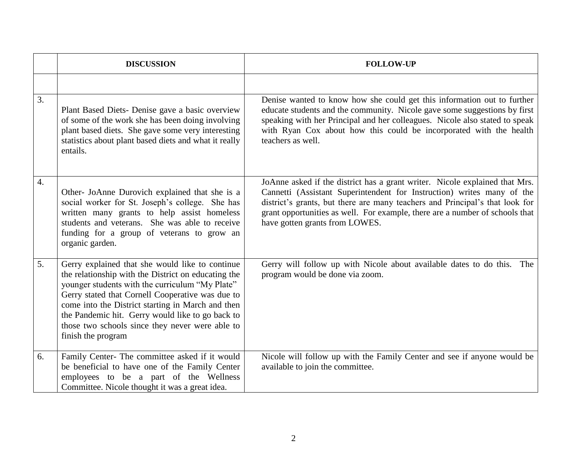|                  | <b>DISCUSSION</b>                                                                                                                                                                                                                                                                                                                                                                               | <b>FOLLOW-UP</b>                                                                                                                                                                                                                                                                                                                                        |
|------------------|-------------------------------------------------------------------------------------------------------------------------------------------------------------------------------------------------------------------------------------------------------------------------------------------------------------------------------------------------------------------------------------------------|---------------------------------------------------------------------------------------------------------------------------------------------------------------------------------------------------------------------------------------------------------------------------------------------------------------------------------------------------------|
|                  |                                                                                                                                                                                                                                                                                                                                                                                                 |                                                                                                                                                                                                                                                                                                                                                         |
| 3.               | Plant Based Diets- Denise gave a basic overview<br>of some of the work she has been doing involving<br>plant based diets. She gave some very interesting<br>statistics about plant based diets and what it really<br>entails.                                                                                                                                                                   | Denise wanted to know how she could get this information out to further<br>educate students and the community. Nicole gave some suggestions by first<br>speaking with her Principal and her colleagues. Nicole also stated to speak<br>with Ryan Cox about how this could be incorporated with the health<br>teachers as well.                          |
| $\overline{4}$ . | Other- JoAnne Durovich explained that she is a<br>social worker for St. Joseph's college. She has<br>written many grants to help assist homeless<br>students and veterans. She was able to receive<br>funding for a group of veterans to grow an<br>organic garden.                                                                                                                             | JoAnne asked if the district has a grant writer. Nicole explained that Mrs.<br>Cannetti (Assistant Superintendent for Instruction) writes many of the<br>district's grants, but there are many teachers and Principal's that look for<br>grant opportunities as well. For example, there are a number of schools that<br>have gotten grants from LOWES. |
| 5.               | Gerry explained that she would like to continue<br>the relationship with the District on educating the<br>younger students with the curriculum "My Plate"<br>Gerry stated that Cornell Cooperative was due to<br>come into the District starting in March and then<br>the Pandemic hit. Gerry would like to go back to<br>those two schools since they never were able to<br>finish the program | Gerry will follow up with Nicole about available dates to do this. The<br>program would be done via zoom.                                                                                                                                                                                                                                               |
| 6.               | Family Center- The committee asked if it would<br>be beneficial to have one of the Family Center<br>employees to be a part of the Wellness<br>Committee. Nicole thought it was a great idea.                                                                                                                                                                                                    | Nicole will follow up with the Family Center and see if anyone would be<br>available to join the committee.                                                                                                                                                                                                                                             |